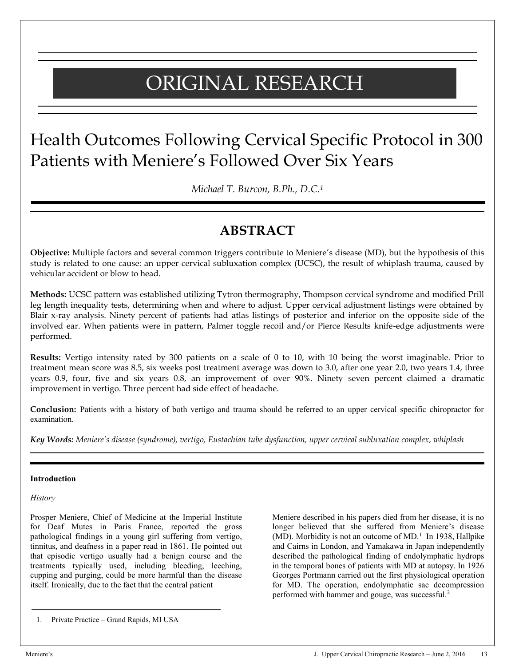# ORIGINAL RESEARCH

## Health Outcomes Following Cervical Specific Protocol in 300 Patients with Meniere's Followed Over Six Years

*Michael T. Burcon, B.Ph., D.C.1*

### **ABSTRACT**

**Objective:** Multiple factors and several common triggers contribute to Meniere's disease (MD), but the hypothesis of this study is related to one cause: an upper cervical subluxation complex (UCSC), the result of whiplash trauma, caused by vehicular accident or blow to head.

**Methods:** UCSC pattern was established utilizing Tytron thermography, Thompson cervical syndrome and modified Prill leg length inequality tests, determining when and where to adjust. Upper cervical adjustment listings were obtained by Blair x-ray analysis. Ninety percent of patients had atlas listings of posterior and inferior on the opposite side of the involved ear. When patients were in pattern, Palmer toggle recoil and/or Pierce Results knife-edge adjustments were performed.

**Results:** Vertigo intensity rated by 300 patients on a scale of 0 to 10, with 10 being the worst imaginable. Prior to treatment mean score was 8.5, six weeks post treatment average was down to 3.0, after one year 2.0, two years 1.4, three years 0.9, four, five and six years 0.8, an improvement of over 90%. Ninety seven percent claimed a dramatic improvement in vertigo. Three percent had side effect of headache.

**Conclusion:** Patients with a history of both vertigo and trauma should be referred to an upper cervical specific chiropractor for examination.

*Key Words: Meniere's disease (syndrome), vertigo, Eustachian tube dysfunction, upper cervical subluxation complex, whiplash*

#### **Introduction**

#### *History*

Prosper Meniere, Chief of Medicine at the Imperial Institute for Deaf Mutes in Paris France, reported the gross pathological findings in a young girl suffering from vertigo, tinnitus, and deafness in a paper read in 1861. He pointed out that episodic vertigo usually had a benign course and the treatments typically used, including bleeding, leeching, cupping and purging, could be more harmful than the disease itself. Ironically, due to the fact that the central patient

Meniere described in his papers died from her disease, it is no longer believed that she suffered from Meniere's disease (MD). Morbidity is not an outcome of MD. $<sup>1</sup>$  In 1938, Hallpike</sup> and Cairns in London, and Yamakawa in Japan independently described the pathological finding of endolymphatic hydrops in the temporal bones of patients with MD at autopsy. In 1926 Georges Portmann carried out the first physiological operation for MD. The operation, endolymphatic sac decompression performed with hammer and gouge, was successful.2

<sup>1.</sup> Private Practice – Grand Rapids, MI USA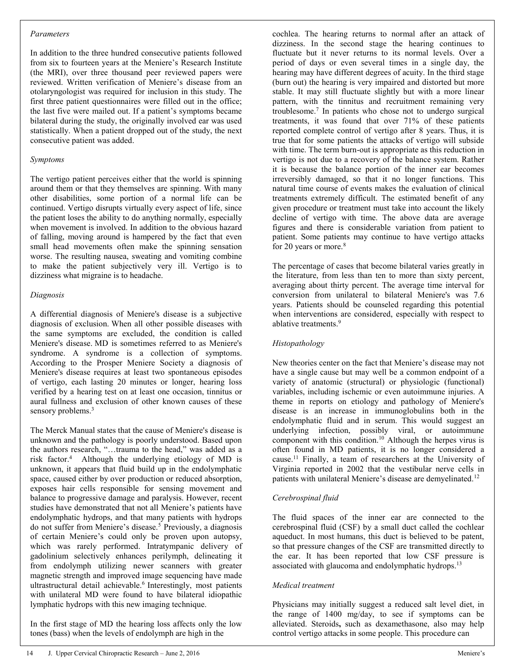#### *Parameters*

In addition to the three hundred consecutive patients followed from six to fourteen years at the Meniere's Research Institute (the MRI), over three thousand peer reviewed papers were reviewed. Written verification of Meniere's disease from an otolaryngologist was required for inclusion in this study. The first three patient questionnaires were filled out in the office; the last five were mailed out. If a patient's symptoms became bilateral during the study, the originally involved ear was used statistically. When a patient dropped out of the study, the next consecutive patient was added.

#### *Symptoms*

The vertigo patient perceives either that the world is spinning around them or that they themselves are spinning. With many other disabilities, some portion of a normal life can be continued. Vertigo disrupts virtually every aspect of life, since the patient loses the ability to do anything normally, especially when movement is involved. In addition to the obvious hazard of falling, moving around is hampered by the fact that even small head movements often make the spinning sensation worse. The resulting nausea, sweating and vomiting combine to make the patient subjectively very ill. Vertigo is to dizziness what migraine is to headache.

#### *Diagnosis*

A differential diagnosis of Meniere's disease is a subjective diagnosis of exclusion. When all other possible diseases with the same symptoms are excluded, the condition is called Meniere's disease. MD is sometimes referred to as Meniere's syndrome. A syndrome is a collection of symptoms. According to the Prosper Meniere Society a diagnosis of Meniere's disease requires at least two spontaneous episodes of vertigo, each lasting 20 minutes or longer, hearing loss verified by a hearing test on at least one occasion, tinnitus or aural fullness and exclusion of other known causes of these sensory problems.<sup>3</sup>

The Merck Manual states that the cause of Meniere's disease is unknown and the pathology is poorly understood. Based upon the authors research, "…trauma to the head," was added as a risk factor.4 Although the underlying etiology of MD is unknown, it appears that fluid build up in the endolymphatic space, caused either by over production or reduced absorption, exposes hair cells responsible for sensing movement and balance to progressive damage and paralysis. However, recent studies have demonstrated that not all Meniere's patients have endolymphatic hydrops, and that many patients with hydrops do not suffer from Meniere's disease.<sup>5</sup> Previously, a diagnosis of certain Meniere's could only be proven upon autopsy, which was rarely performed. Intratympanic delivery of gadolinium selectively enhances perilymph, delineating it from endolymph utilizing newer scanners with greater magnetic strength and improved image sequencing have made ultrastructural detail achievable.<sup>6</sup> Interestingly, most patients with unilateral MD were found to have bilateral idiopathic lymphatic hydrops with this new imaging technique.

In the first stage of MD the hearing loss affects only the low tones (bass) when the levels of endolymph are high in the

cochlea. The hearing returns to normal after an attack of dizziness. In the second stage the hearing continues to fluctuate but it never returns to its normal levels. Over a period of days or even several times in a single day, the hearing may have different degrees of acuity. In the third stage (burn out) the hearing is very impaired and distorted but more stable. It may still fluctuate slightly but with a more linear pattern, with the tinnitus and recruitment remaining very troublesome.7 In patients who chose not to undergo surgical treatments, it was found that over 71% of these patients reported complete control of vertigo after 8 years. Thus, it is true that for some patients the attacks of vertigo will subside with time. The term burn-out is appropriate as this reduction in vertigo is not due to a recovery of the balance system. Rather it is because the balance portion of the inner ear becomes irreversibly damaged, so that it no longer functions. This natural time course of events makes the evaluation of clinical treatments extremely difficult. The estimated benefit of any given procedure or treatment must take into account the likely decline of vertigo with time. The above data are average figures and there is considerable variation from patient to patient. Some patients may continue to have vertigo attacks for 20 years or more.<sup>8</sup>

The percentage of cases that become bilateral varies greatly in the literature, from less than ten to more than sixty percent, averaging about thirty percent. The average time interval for conversion from unilateral to bilateral Meniere's was 7.6 years. Patients should be counseled regarding this potential when interventions are considered, especially with respect to ablative treatments.<sup>9</sup>

#### *Histopathology*

New theories center on the fact that Meniere's disease may not have a single cause but may well be a common endpoint of a variety of anatomic (structural) or physiologic (functional) variables, including ischemic or even autoimmune injuries. A theme in reports on etiology and pathology of Meniere's disease is an increase in immunoglobulins both in the endolymphatic fluid and in serum. This would suggest an underlying infection, possibly viral, or autoimmune component with this condition.<sup>10</sup> Although the herpes virus is often found in MD patients, it is no longer considered a cause.11 Finally, a team of researchers at the University of Virginia reported in 2002 that the vestibular nerve cells in patients with unilateral Meniere's disease are demyelinated.<sup>12</sup>

#### *Cerebrospinal fluid*

The fluid spaces of the inner ear are connected to the cerebrospinal fluid (CSF) by a small duct called the cochlear aqueduct. In most humans, this duct is believed to be patent, so that pressure changes of the CSF are transmitted directly to the ear. It has been reported that low CSF pressure is associated with glaucoma and endolymphatic hydrops.<sup>13</sup>

#### *Medical treatment*

Physicians may initially suggest a reduced salt level diet, in the range of 1400 mg/day, to see if symptoms can be alleviated. Steroids**,** such as dexamethasone, also may help control vertigo attacks in some people. This procedure can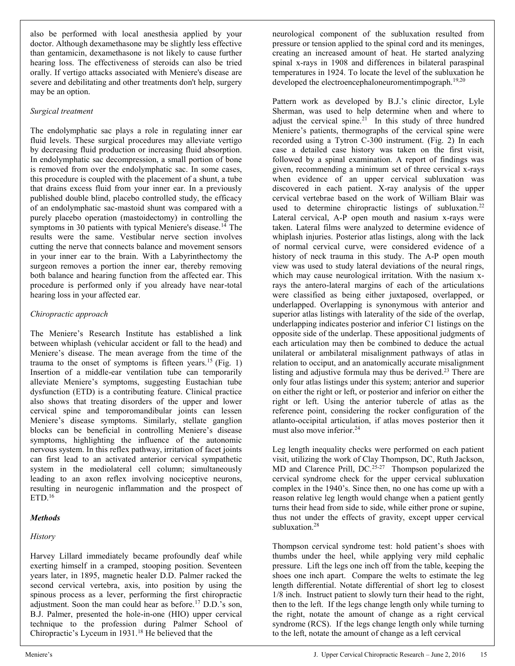also be performed with local anesthesia applied by your doctor. Although dexamethasone may be slightly less effective than gentamicin, dexamethasone is not likely to cause further hearing loss. The effectiveness of steroids can also be tried orally. If vertigo attacks associated with Meniere's disease are severe and debilitating and other treatments don't help, surgery may be an option.

#### *Surgical treatment*

The endolymphatic sac plays a role in regulating inner ear fluid levels. These surgical procedures may alleviate vertigo by decreasing fluid production or increasing fluid absorption. In endolymphatic sac decompression, a small portion of bone is removed from over the endolymphatic sac. In some cases, this procedure is coupled with the placement of a shunt, a tube that drains excess fluid from your inner ear. In a previously published double blind, placebo controlled study, the efficacy of an endolymphatic sac-mastoid shunt was compared with a purely placebo operation (mastoidectomy) in controlling the symptoms in 30 patients with typical Meniere's disease.<sup>14</sup> The results were the same. Vestibular nerve section involves cutting the nerve that connects balance and movement sensors in your inner ear to the brain. With a Labyrinthectomy the surgeon removes a portion the inner ear, thereby removing both balance and hearing function from the affected ear. This procedure is performed only if you already have near-total hearing loss in your affected ear.

#### *Chiropractic approach*

The Meniere's Research Institute has established a link between whiplash (vehicular accident or fall to the head) and Meniere's disease. The mean average from the time of the trauma to the onset of symptoms is fifteen years.<sup>15</sup> (Fig. 1) Insertion of a middle-ear ventilation tube can temporarily alleviate Meniere's symptoms, suggesting Eustachian tube dysfunction (ETD) is a contributing feature. Clinical practice also shows that treating disorders of the upper and lower cervical spine and temporomandibular joints can lessen Meniere's disease symptoms. Similarly, stellate ganglion blocks can be beneficial in controlling Meniere's disease symptoms, highlighting the influence of the autonomic nervous system. In this reflex pathway, irritation of facet joints can first lead to an activated anterior cervical sympathetic system in the mediolateral cell column; simultaneously leading to an axon reflex involving nociceptive neurons, resulting in neurogenic inflammation and the prospect of  $ETD<sup>16</sup>$ 

#### *Methods*

#### *History*

Harvey Lillard immediately became profoundly deaf while exerting himself in a cramped, stooping position. Seventeen years later, in 1895, magnetic healer D.D. Palmer racked the second cervical vertebra, axis, into position by using the spinous process as a lever, performing the first chiropractic adjustment. Soon the man could hear as before.17 D.D.'s son, B.J. Palmer, presented the hole-in-one (HIO) upper cervical technique to the profession during Palmer School of Chiropractic's Lyceum in 1931.<sup>18</sup> He believed that the

neurological component of the subluxation resulted from pressure or tension applied to the spinal cord and its meninges, creating an increased amount of heat. He started analyzing spinal x-rays in 1908 and differences in bilateral paraspinal temperatures in 1924. To locate the level of the subluxation he developed the electroencephaloneuromentimpograph.<sup>19,20</sup>

Pattern work as developed by B.J.'s clinic director, Lyle Sherman, was used to help determine when and where to adjust the cervical spine.<sup>21</sup> In this study of three hundred Meniere's patients, thermographs of the cervical spine were recorded using a Tytron C-300 instrument. (Fig. 2) In each case a detailed case history was taken on the first visit, followed by a spinal examination. A report of findings was given, recommending a minimum set of three cervical x-rays when evidence of an upper cervical subluxation was discovered in each patient. X-ray analysis of the upper cervical vertebrae based on the work of William Blair was used to determine chiropractic listings of subluxation.<sup>22</sup> Lateral cervical, A-P open mouth and nasium x-rays were taken. Lateral films were analyzed to determine evidence of whiplash injuries. Posterior atlas listings, along with the lack of normal cervical curve, were considered evidence of a history of neck trauma in this study. The A-P open mouth view was used to study lateral deviations of the neural rings, which may cause neurological irritation. With the nasium xrays the antero-lateral margins of each of the articulations were classified as being either juxtaposed, overlapped, or underlapped. Overlapping is synonymous with anterior and superior atlas listings with laterality of the side of the overlap, underlapping indicates posterior and inferior C1 listings on the opposite side of the underlap. These appositional judgments of each articulation may then be combined to deduce the actual unilateral or ambilateral misalignment pathways of atlas in relation to occiput, and an anatomically accurate misalignment listing and adjustive formula may thus be derived.<sup>23</sup> There are only four atlas listings under this system; anterior and superior on either the right or left, or posterior and inferior on either the right or left. Using the anterior tubercle of atlas as the reference point, considering the rocker configuration of the atlanto-occipital articulation, if atlas moves posterior then it must also move inferior.<sup>24</sup>

Leg length inequality checks were performed on each patient visit, utilizing the work of Clay Thompson, DC, Ruth Jackson, MD and Clarence Prill,  $DC<sub>.25-27</sub>$  Thompson popularized the cervical syndrome check for the upper cervical subluxation complex in the 1940's. Since then, no one has come up with a reason relative leg length would change when a patient gently turns their head from side to side, while either prone or supine, thus not under the effects of gravity, except upper cervical subluxation.<sup>28</sup>

Thompson cervical syndrome test: hold patient's shoes with thumbs under the heel, while applying very mild cephalic pressure. Lift the legs one inch off from the table, keeping the shoes one inch apart. Compare the welts to estimate the leg length differential. Notate differential of short leg to closest 1/8 inch. Instruct patient to slowly turn their head to the right, then to the left. If the legs change length only while turning to the right, notate the amount of change as a right cervical syndrome (RCS). If the legs change length only while turning to the left, notate the amount of change as a left cervical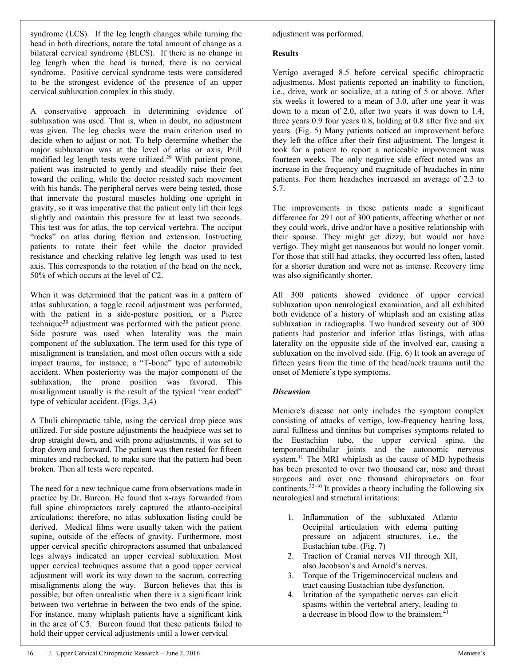syndrome (LCS). If the leg length changes while turning the head in both directions, notate the total amount of change as a bilateral cervical syndrome (BLCS). If there is no change in leg length when the head is turned, there is no cervical syndrome. Positive cervical syndrome tests were considered to be the strongest evidence of the presence of an upper cervical subluxation complex in this study.

A conservative approach in determining evidence of subluxation was used. That is, when in doubt, no adjustment was given. The leg checks were the main criterion used to decide when to adjust or not. To help determine whether the major subluxation was at the level of atlas or axis, Prill modified leg length tests were utilized.<sup>29</sup> With patient prone, patient was instructed to gently and steadily raise their feet toward the ceiling, while the doctor resisted such movement with his hands. The peripheral nerves were being tested, those that innervate the postural muscles holding one upright in gravity, so it was imperative that the patient only lift their legs slightly and maintain this pressure for at least two seconds. This test was for atlas, the top cervical vertebra. The occiput "rocks" on atlas during flexion and extension. Instructing patients to rotate their feet while the doctor provided resistance and checking relative leg length was used to test axis. This corresponds to the rotation of the head on the neck, 50% of which occurs at the level of C2.

When it was determined that the patient was in a pattern of atlas subluxation, a toggle recoil adjustment was performed, with the patient in a side-posture position, or a Pierce technique<sup>30</sup> adjustment was performed with the patient prone. Side posture was used when laterality was the main component of the subluxation. The term used for this type of misalignment is translation, and most often occurs with a side impact trauma, for instance, a "T-bone" type of automobile accident. When posteriority was the major component of the subluxation, the prone position was favored. This misalignment usually is the result of the typical "rear ended" type of vehicular accident. (Figs. 3,4)

A Thuli chiropractic table, using the cervical drop piece was utilized. For side posture adjustments the headpiece was set to drop straight down, and with prone adjustments, it was set to drop down and forward. The patient was then rested for fifteen minutes and rechecked, to make sure that the pattern had been broken. Then all tests were repeated.

The need for a new technique came from observations made in practice by Dr. Burcon. He found that x-rays forwarded from full spine chiropractors rarely captured the atlanto-occipital articulations; therefore, no atlas subluxation listing could be derived. Medical films were usually taken with the patient supine, outside of the effects of gravity. Furthermore, most upper cervical specific chiropractors assumed that unbalanced legs always indicated an upper cervical subluxation. Most upper cervical techniques assume that a good upper cervical adjustment will work its way down to the sacrum, correcting misalignments along the way. Burcon believes that this is possible, but often unrealistic when there is a significant kink between two vertebrae in between the two ends of the spine. For instance, many whiplash patients have a significant kink in the area of C5. Burcon found that these patients failed to hold their upper cervical adjustments until a lower cervical

adjustment was performed.

#### **Results**

Vertigo averaged 8.5 before cervical specific chiropractic adjustments. Most patients reported an inability to function, i.e., drive, work or socialize, at a rating of 5 or above. After six weeks it lowered to a mean of 3.0, after one year it was down to a mean of 2.0, after two years it was down to 1.4, three years 0.9 four years 0.8, holding at 0.8 after five and six years. (Fig. 5) Many patients noticed an improvement before they left the office after their first adjustment. The longest it took for a patient to report a noticeable improvement was fourteen weeks. The only negative side effect noted was an increase in the frequency and magnitude of headaches in nine patients. For them headaches increased an average of 2.3 to 5.7.

The improvements in these patients made a significant difference for 291 out of 300 patients, affecting whether or not they could work, drive and/or have a positive relationship with their spouse. They might get dizzy, but would not have vertigo. They might get nauseaous but would no longer vomit. For those that still had attacks, they occurred less often, lasted for a shorter duration and were not as intense. Recovery time was also significantly shorter.

All 300 patients showed evidence of upper cervical subluxation upon neurological examination, and all exhibited both evidence of a history of whiplash and an existing atlas subluxation in radiographs. Two hundred seventy out of 300 patients had posterior and inferior atlas listings, with atlas laterality on the opposite side of the involved ear, causing a subluxation on the involved side. (Fig. 6) It took an average of fifteen years from the time of the head/neck trauma until the onset of Meniere's type symptoms.

#### *Discussion*

Meniere's disease not only includes the symptom complex consisting of attacks of vertigo, low-frequency hearing loss, aural fullness and tinnitus but comprises symptoms related to the Eustachian tube, the upper cervical spine, the temporomandibular joints and the autonomic nervous system.<sup>31</sup> The MRI whiplash as the cause of MD hypothesis has been presented to over two thousand ear, nose and throat surgeons and over one thousand chiropractors on four continents.32-40 It provides a theory including the following six neurological and structural irritations:

- 1. Inflammation of the subluxated Atlanto Occipital articulation with edema putting pressure on adjacent structures, i.e., the Eustachian tube. (Fig. 7)
- 2. Traction of Cranial nerves VII through XII, also Jacobson's and Arnold's nerves.
- 3. Torque of the Trigeminocervical nucleus and tract causing Eustachian tube dysfunction.
- 4. Irritation of the sympathetic nerves can elicit spasms within the vertebral artery, leading to a decrease in blood flow to the brainstem.<sup>4</sup>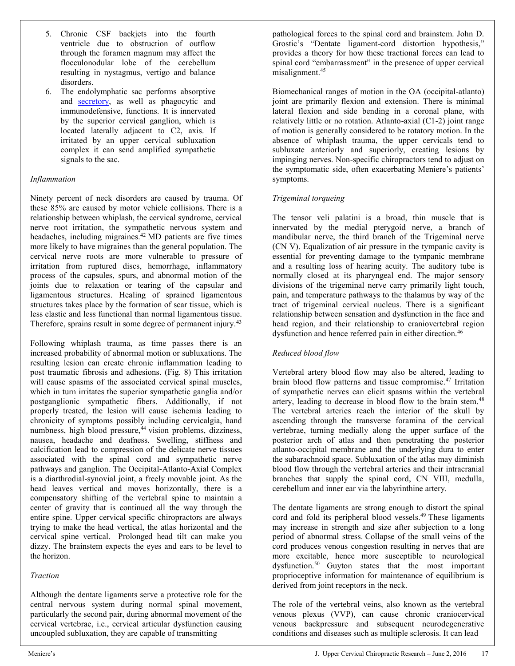- 5. Chronic CSF backjets into the fourth ventricle due to obstruction of outflow through the foramen magnum may affect the flocculonodular lobe of the cerebellum resulting in nystagmus, vertigo and balance disorders.
- 6. The endolymphatic sac performs absorptive and [secretory,](http://en.wikipedia.org/w/index.php?title=Secretory&action=edit&redlink=1) as well as phagocytic and immunodefensive, functions. It is innervated by the superior cervical ganglion, which is located laterally adjacent to C2, axis. If irritated by an upper cervical subluxation complex it can send amplified sympathetic signals to the sac.

#### *Inflammation*

Ninety percent of neck disorders are caused by trauma. Of these 85% are caused by motor vehicle collisions. There is a relationship between whiplash, the cervical syndrome, cervical nerve root irritation, the sympathetic nervous system and headaches, including migraines.<sup>42</sup> MD patients are five times more likely to have migraines than the general population. The cervical nerve roots are more vulnerable to pressure of irritation from ruptured discs, hemorrhage, inflammatory process of the capsules, spurs, and abnormal motion of the joints due to relaxation or tearing of the capsular and ligamentous structures. Healing of sprained ligamentous structures takes place by the formation of scar tissue, which is less elastic and less functional than normal ligamentous tissue. Therefore, sprains result in some degree of permanent injury.<sup>43</sup>

Following whiplash trauma, as time passes there is an increased probability of abnormal motion or subluxations. The resulting lesion can create chronic inflammation leading to post traumatic fibrosis and adhesions. (Fig. 8) This irritation will cause spasms of the associated cervical spinal muscles, which in turn irritates the superior sympathetic ganglia and/or postganglionic sympathetic fibers. Additionally, if not properly treated, the lesion will cause ischemia leading to chronicity of symptoms possibly including cervicalgia, hand numbness, high blood pressure,<sup>44</sup> vision problems, dizziness, nausea, headache and deafness. Swelling, stiffness and calcification lead to compression of the delicate nerve tissues associated with the spinal cord and sympathetic nerve pathways and ganglion. The Occipital-Atlanto-Axial Complex is a diarthrodial-synovial joint, a freely movable joint. As the head leaves vertical and moves horizontally, there is a compensatory shifting of the vertebral spine to maintain a center of gravity that is continued all the way through the entire spine. Upper cervical specific chiropractors are always trying to make the head vertical, the atlas horizontal and the cervical spine vertical. Prolonged head tilt can make you dizzy. The brainstem expects the eyes and ears to be level to the horizon.

#### *Traction*

Although the dentate ligaments serve a protective role for the central nervous system during normal spinal movement, particularly the second pair, during abnormal movement of the cervical vertebrae, i.e., cervical articular dysfunction causing uncoupled subluxation, they are capable of transmitting

pathological forces to the spinal cord and brainstem. John D. Grostic's "Dentate ligament-cord distortion hypothesis," provides a theory for how these tractional forces can lead to spinal cord "embarrassment" in the presence of upper cervical misalignment.45

Biomechanical ranges of motion in the OA (occipital-atlanto) joint are primarily flexion and extension. There is minimal lateral flexion and side bending in a coronal plane, with relatively little or no rotation. Atlanto-axial (C1-2) joint range of motion is generally considered to be rotatory motion. In the absence of whiplash trauma, the upper cervicals tend to subluxate anteriorly and superiorly, creating lesions by impinging nerves. Non-specific chiropractors tend to adjust on the symptomatic side, often exacerbating Meniere's patients' symptoms.

#### *Trigeminal torqueing*

The tensor veli palatini is a broad, thin muscle that is innervated by the medial pterygoid nerve, a branch of mandibular nerve, the third branch of the Trigeminal nerve (CN V). Equalization of air pressure in the tympanic cavity is essential for preventing damage to the tympanic membrane and a resulting loss of hearing acuity. The auditory tube is normally closed at its pharyngeal end. The major sensory divisions of the trigeminal nerve carry primarily light touch, pain, and temperature pathways to the thalamus by way of the tract of trigeminal cervical nucleus. There is a significant relationship between sensation and dysfunction in the face and head region, and their relationship to craniovertebral region dysfunction and hence referred pain in either direction.<sup>46</sup>

#### *Reduced blood flow*

Vertebral artery blood flow may also be altered, leading to brain blood flow patterns and tissue compromise.<sup>47</sup> Irritation of sympathetic nerves can elicit spasms within the vertebral artery, leading to decrease in blood flow to the brain stem.<sup>48</sup> The vertebral arteries reach the interior of the skull by ascending through the transverse foramina of the cervical vertebrae, turning medially along the upper surface of the posterior arch of atlas and then penetrating the posterior atlanto-occipital membrane and the underlying dura to enter the subarachnoid space. Subluxation of the atlas may diminish blood flow through the vertebral arteries and their intracranial branches that supply the spinal cord, CN VIII, medulla, cerebellum and inner ear via the labyrinthine artery.

The dentate ligaments are strong enough to distort the spinal cord and fold its peripheral blood vessels.<sup>49</sup> These ligaments may increase in strength and size after subjection to a long period of abnormal stress. Collapse of the small veins of the cord produces venous congestion resulting in nerves that are more excitable, hence more susceptible to neurological dysfunction.50 Guyton states that the most important proprioceptive information for maintenance of equilibrium is derived from joint receptors in the neck.

The role of the vertebral veins, also known as the vertebral venous plexus (VVP), can cause chronic craniocervical venous backpressure and subsequent neurodegenerative conditions and diseases such as multiple sclerosis. It can lead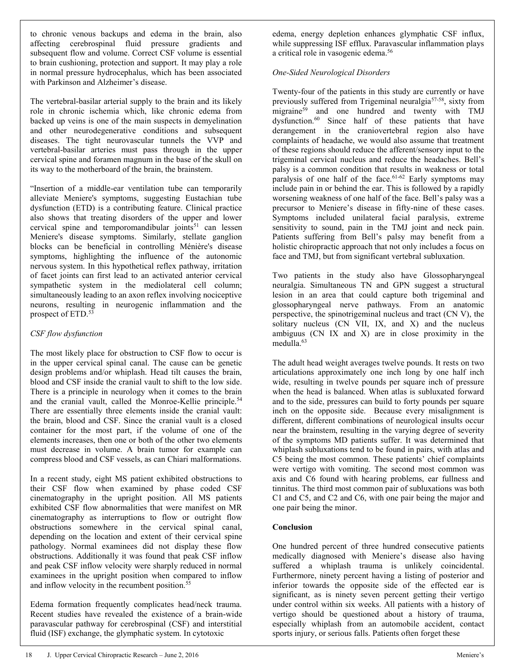to chronic venous backups and edema in the brain, also affecting cerebrospinal fluid pressure gradients and subsequent flow and volume. Correct CSF volume is essential to brain cushioning, protection and support. It may play a role in normal pressure hydrocephalus, which has been associated with Parkinson and Alzheimer's disease.

The vertebral-basilar arterial supply to the brain and its likely role in chronic ischemia which, like chronic edema from backed up veins is one of the main suspects in demyelination and other neurodegenerative conditions and subsequent diseases. The tight neurovascular tunnels the VVP and vertebral-basilar arteries must pass through in the upper cervical spine and foramen magnum in the base of the skull on its way to the motherboard of the brain, the brainstem.

"Insertion of a middle-ear ventilation tube can temporarily alleviate Meniere's symptoms, suggesting Eustachian tube dysfunction (ETD) is a contributing feature. Clinical practice also shows that treating disorders of the upper and lower cervical spine and temporomandibular joints $51$  can lessen Meniere's disease symptoms. Similarly, stellate ganglion blocks can be beneficial in controlling Ménière's disease symptoms, highlighting the influence of the autonomic nervous system. In this hypothetical reflex pathway, irritation of facet joints can first lead to an activated anterior cervical sympathetic system in the mediolateral cell column; simultaneously leading to an axon reflex involving nociceptive neurons, resulting in neurogenic inflammation and the prospect of ETD.<sup>53</sup>

#### *CSF flow dysfunction*

The most likely place for obstruction to CSF flow to occur is in the upper cervical spinal canal. The cause can be genetic design problems and/or whiplash. Head tilt causes the brain, blood and CSF inside the cranial vault to shift to the low side. There is a principle in neurology when it comes to the brain and the cranial vault, called the Monroe-Kellie principle.<sup>54</sup> There are essentially three elements inside the cranial vault: the brain, blood and CSF. Since the cranial vault is a closed container for the most part, if the volume of one of the elements increases, then one or both of the other two elements must decrease in volume. A brain tumor for example can compress blood and CSF vessels, as can Chiari malformations.

In a recent study, eight MS patient exhibited obstructions to their CSF flow when examined by phase coded CSF cinematography in the upright position. All MS patients exhibited CSF flow abnormalities that were manifest on MR cinematography as interruptions to flow or outright flow obstructions somewhere in the cervical spinal canal, depending on the location and extent of their cervical spine pathology. Normal examinees did not display these flow obstructions. Additionally it was found that peak CSF inflow and peak CSF inflow velocity were sharply reduced in normal examinees in the upright position when compared to inflow and inflow velocity in the recumbent position.<sup>55</sup>

Edema formation frequently complicates head/neck trauma. Recent studies have revealed the existence of a brain-wide paravascular pathway for cerebrospinal (CSF) and interstitial fluid (ISF) exchange, the glymphatic system. In cytotoxic

edema, energy depletion enhances glymphatic CSF influx, while suppressing ISF efflux. Paravascular inflammation plays a critical role in vasogenic edema.<sup>56</sup>

#### *One-Sided Neurological Disorders*

Twenty-four of the patients in this study are currently or have previously suffered from Trigeminal neuralgia<sup>57-58</sup>, sixty from migraine<sup>59</sup> and one hundred and twenty with TMJ dysfunction.<sup>60</sup> Since half of these patients that have derangement in the craniovertebral region also have complaints of headache, we would also assume that treatment of these regions should reduce the afferent/sensory input to the trigeminal cervical nucleus and reduce the headaches. Bell's palsy is a common condition that results in weakness or total paralysis of one half of the face.<sup>61-62</sup> Early symptoms may include pain in or behind the ear. This is followed by a rapidly worsening weakness of one half of the face. Bell's palsy was a precursor to Meniere's disease in fifty-nine of these cases. Symptoms included unilateral facial paralysis, extreme sensitivity to sound, pain in the TMJ joint and neck pain. Patients suffering from Bell's palsy may benefit from a holistic chiropractic approach that not only includes a focus on face and TMJ, but from significant vertebral subluxation.

Two patients in the study also have Glossopharyngeal neuralgia. Simultaneous TN and GPN suggest a structural lesion in an area that could capture both trigeminal and glossopharyngeal nerve pathways. From an anatomic perspective, the spinotrigeminal nucleus and tract (CN V), the solitary nucleus (CN VII, IX, and X) and the nucleus ambiguus (CN IX and X) are in close proximity in the medulla.<sup>63</sup>

The adult head weight averages twelve pounds. It rests on two articulations approximately one inch long by one half inch wide, resulting in twelve pounds per square inch of pressure when the head is balanced. When atlas is subluxated forward and to the side, pressures can build to forty pounds per square inch on the opposite side. Because every misalignment is different, different combinations of neurological insults occur near the brainstem, resulting in the varying degree of severity of the symptoms MD patients suffer. It was determined that whiplash subluxations tend to be found in pairs, with atlas and C5 being the most common. These patients' chief complaints were vertigo with vomiting. The second most common was axis and C6 found with hearing problems, ear fullness and tinnitus. The third most common pair of subluxations was both C1 and C5, and C2 and C6, with one pair being the major and one pair being the minor.

#### **Conclusion**

One hundred percent of three hundred consecutive patients medically diagnosed with Meniere's disease also having suffered a whiplash trauma is unlikely coincidental. Furthermore, ninety percent having a listing of posterior and inferior towards the opposite side of the effected ear is significant, as is ninety seven percent getting their vertigo under control within six weeks. All patients with a history of vertigo should be questioned about a history of trauma, especially whiplash from an automobile accident, contact sports injury, or serious falls. Patients often forget these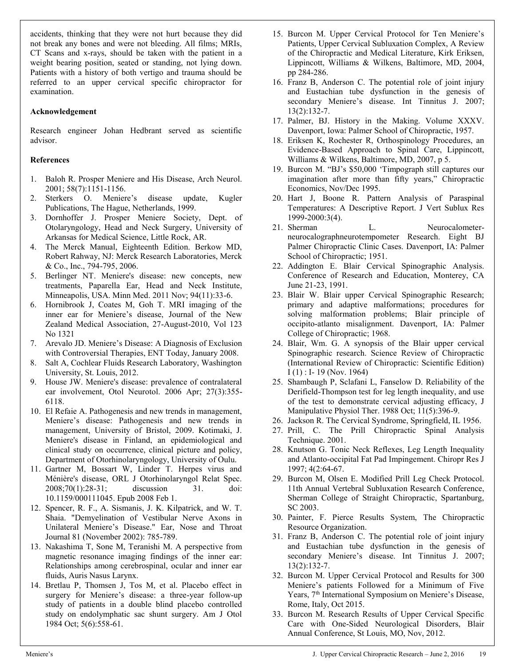accidents, thinking that they were not hurt because they did not break any bones and were not bleeding. All films; MRIs, CT Scans and x-rays, should be taken with the patient in a weight bearing position, seated or standing, not lying down. Patients with a history of both vertigo and trauma should be referred to an upper cervical specific chiropractor for examination.

#### **Acknowledgement**

Research engineer Johan Hedbrant served as scientific advisor.

#### **References**

- 1. Baloh R. Prosper Meniere and His Disease, Arch Neurol. 2001; 58(7):1151-1156.
- 2. Sterkers O. Meniere's disease update, Kugler Publications, The Hague, Netherlands, 1999.
- 3. Dornhoffer J. Prosper Meniere Society, Dept. of Otolaryngology, Head and Neck Surgery, University of Arkansas for Medical Science, Little Rock, AR.
- 4. The Merck Manual, Eighteenth Edition. Berkow MD, Robert Rahway, NJ: Merck Research Laboratories, Merck & Co., Inc., 794-795, 2006.
- 5. Berlinger NT. Meniere's disease: new concepts, new treatments, Paparella Ear, Head and Neck Institute, Minneapolis, USA. Minn Med. 2011 Nov; 94(11):33-6.
- 6. Hornibrook J, Coates M, Goh T. MRI imaging of the inner ear for Meniere's disease, Journal of the New Zealand Medical Association, 27-August-2010, Vol 123 No 1321
- 7. Arevalo JD. Meniere's Disease: A Diagnosis of Exclusion with Controversial Therapies, ENT Today, January 2008.
- 8. Salt A, Cochlear Fluids Research Laboratory, Washington University, St. Louis, 2012.
- 9. House JW. Meniere's disease: prevalence of contralateral ear involvement, Otol Neurotol. 2006 Apr; 27(3):355- 6118.
- 10. El Refaie A. Pathogenesis and new trends in management, Meniere's disease: Pathogenesis and new trends in management, University of Bristol, 2009. Kotimaki, J. Meniere's disease in Finland, an epidemiological and clinical study on occurrence, clinical picture and policy, Department of Otorhinolaryngology, University of Oulu.
- 11. Gartner M, Bossart W, Linder T. Herpes virus and Ménière's disease, ORL J Otorhinolaryngol Relat Spec. 2008;70(1):28-31; discussion 31. doi: 10.1159/000111045. Epub 2008 Feb 1.
- 12. Spencer, R. F., A. Sismanis, J. K. Kilpatrick, and W. T. Shaia. "Demyelination of Vestibular Nerve Axons in Unilateral Meniere's Disease." Ear, Nose and Throat Journal 81 (November 2002): 785-789.
- 13. Nakashima T, Sone M, Teranishi M. A perspective from magnetic resonance imaging findings of the inner ear: Relationships among cerebrospinal, ocular and inner ear fluids, Auris Nasus Larynx.
- 14. Bretlau P, Thomsen J, Tos M, et al. Placebo effect in surgery for Meniere's disease: a three-year follow-up study of patients in a double blind placebo controlled study on endolymphatic sac shunt surgery. Am J Otol 1984 Oct; 5(6):558-61.
- 15. Burcon M. Upper Cervical Protocol for Ten Meniere's Patients, Upper Cervical Subluxation Complex, A Review of the Chiropractic and Medical Literature, Kirk Eriksen, Lippincott, Williams & Wilkens, Baltimore, MD, 2004, pp 284-286.
- 16. Franz B, Anderson C. The potential role of joint injury and Eustachian tube dysfunction in the genesis of secondary Meniere's disease. Int Tinnitus J. 2007; 13(2):132-7.
- 17. Palmer, BJ. History in the Making. Volume XXXV. Davenport, Iowa: Palmer School of Chiropractic, 1957.
- 18. Eriksen K, Rochester R, Orthospinology Procedures, an Evidence-Based Approach to Spinal Care, Lippincott, Williams & Wilkens, Baltimore, MD, 2007, p 5.
- 19. Burcon M. "BJ's \$50,000 'Timpograph still captures our imagination after more than fifty years," Chiropractic Economics, Nov/Dec 1995.
- 20. Hart J, Boone R. Pattern Analysis of Paraspinal Temperatures: A Descriptive Report. J Vert Sublux Res 1999-2000:3(4).
- 21. Sherman L. Neurocalometerneurocalographneurotempometer Research. Eight BJ Palmer Chiropractic Clinic Cases. Davenport, IA: Palmer School of Chiropractic; 1951.
- 22. Addington E. Blair Cervical Spinographic Analysis. Conference of Research and Education, Monterey, CA June 21-23, 1991.
- 23. Blair W. Blair upper Cervical Spinographic Research; primary and adaptive malformations; procedures for solving malformation problems; Blair principle of occipito-atlanto misalignment. Davenport, IA: Palmer College of Chiropractic; 1968.
- 24. Blair, Wm. G. A synopsis of the Blair upper cervical Spinographic research. Science Review of Chiropractic (International Review of Chiropractic: Scientific Edition) I (1) : I- 19 (Nov. 1964)
- 25. Shambaugh P, Sclafani L, Fanselow D. Reliability of the Derifield-Thompson test for leg length inequality, and use of the test to demonstrate cervical adjusting efficacy, J Manipulative Physiol Ther. 1988 Oct; 11(5):396-9.
- 26. Jackson R. The Cervical Syndrome, Springfield, IL 1956.
- 27. Prill, C. The Prill Chiropractic Spinal Analysis Technique. 2001.
- 28. Knutson G. Tonic Neck Reflexes, Leg Length Inequality and Atlanto-occipital Fat Pad Impingement. Chiropr Res J 1997; 4(2:64-67.
- 29. Burcon M, Olsen E. Modified Prill Leg Check Protocol. 11th Annual Vertebral Subluxation Research Conference, Sherman College of Straight Chiropractic, Spartanburg, SC 2003.
- 30. Painter, F. Pierce Results System, The Chiropractic Resource Organization.
- 31. Franz B, Anderson C. The potential role of joint injury and Eustachian tube dysfunction in the genesis of secondary Meniere's disease. Int Tinnitus J. 2007; 13(2):132-7.
- 32. Burcon M. Upper Cervical Protocol and Results for 300 Meniere's patients Followed for a Minimum of Five Years, 7<sup>th</sup> International Symposium on Meniere's Disease, Rome, Italy, Oct 2015.
- 33. Burcon M. Research Results of Upper Cervical Specific Care with One-Sided Neurological Disorders, Blair Annual Conference, St Louis, MO, Nov, 2012.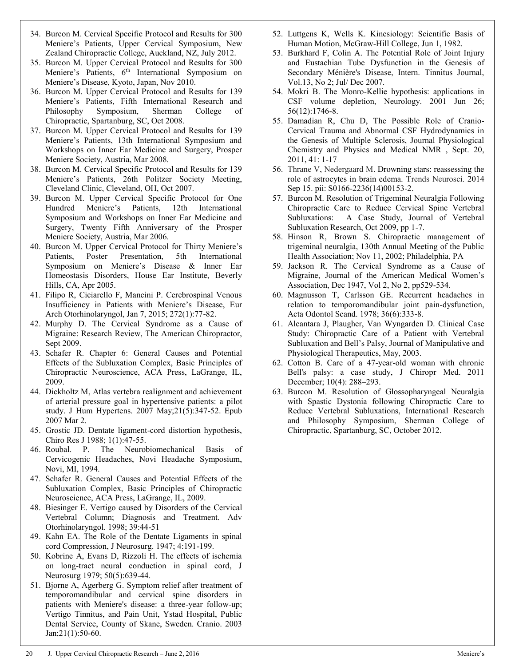- 34. Burcon M. Cervical Specific Protocol and Results for 300 Meniere's Patients, Upper Cervical Symposium, New Zealand Chiropractic College, Auckland, NZ, July 2012.
- 35. Burcon M. Upper Cervical Protocol and Results for 300 Meniere's Patients, 6<sup>th</sup> International Symposium on Meniere's Disease, Kyoto, Japan, Nov 2010.
- 36. Burcon M. Upper Cervical Protocol and Results for 139 Meniere's Patients, Fifth International Research and Philosophy Symposium, Sherman College of Chiropractic, Spartanburg, SC, Oct 2008.
- 37. Burcon M. Upper Cervical Protocol and Results for 139 Meniere's Patients, 13th International Symposium and Workshops on Inner Ear Medicine and Surgery, Prosper Meniere Society, Austria, Mar 2008.
- 38. Burcon M. Cervical Specific Protocol and Results for 139 Meniere's Patients, 26th Politzer Society Meeting, Cleveland Clinic, Cleveland, OH, Oct 2007.
- 39. Burcon M. Upper Cervical Specific Protocol for One Hundred Meniere's Patients, 12th International Symposium and Workshops on Inner Ear Medicine and Surgery, Twenty Fifth Anniversary of the Prosper Meniere Society, Austria, Mar 2006.
- 40. Burcon M. Upper Cervical Protocol for Thirty Meniere's Patients, Poster Presentation, 5th International Symposium on Meniere's Disease & Inner Ear Homeostasis Disorders, House Ear Institute, Beverly Hills, CA, Apr 2005.
- 41. Filipo R, Ciciarello F, Mancini P. Cerebrospinal Venous Insufficiency in Patients with Meniere's Disease, Eur Arch Otorhinolaryngol, Jan 7, 2015; 272(1):77-82.
- 42. Murphy D. The Cervical Syndrome as a Cause of Migraine: Research Review, The American Chiropractor, Sept 2009.
- 43. Schafer R. Chapter 6: General Causes and Potential Effects of the Subluxation Complex, Basic Principles of Chiropractic Neuroscience, ACA Press, LaGrange, IL, 2009.
- 44. Dickholtz M, Atlas vertebra realignment and achievement of arterial pressure goal in hypertensive patients: a pilot study. J Hum Hypertens. 2007 May;21(5):347-52. Epub 2007 Mar 2.
- 45. Grostic JD. Dentate ligament-cord distortion hypothesis, Chiro Res J 1988; 1(1):47-55.
- 46. Roubal. P. The Neurobiomechanical Basis of Cervicogenic Headaches, Novi Headache Symposium, Novi, MI, 1994.
- 47. Schafer R. General Causes and Potential Effects of the Subluxation Complex, Basic Principles of Chiropractic Neuroscience, ACA Press, LaGrange, IL, 2009.
- 48. Biesinger E. Vertigo caused by Disorders of the Cervical Vertebral Column; Diagnosis and Treatment. Adv Otorhinolaryngol. 1998; 39:44-51
- 49. Kahn EA. The Role of the Dentate Ligaments in spinal cord Compression, J Neurosurg. 1947; 4:191-199.
- 50. Kobrine A, Evans D, Rizzoli H. The effects of ischemia on long-tract neural conduction in spinal cord, J Neurosurg 1979; 50(5):639-44.
- 51. Bjorne A, Agerberg G. Symptom relief after treatment of temporomandibular and cervical spine disorders in patients with Meniere's disease: a three-year follow-up; Vertigo Tinnitus, and Pain Unit, Ystad Hospital, Public Dental Service, County of Skane, Sweden. Cranio. 2003 Jan;21(1):50-60.
- 52. Luttgens K, Wells K. Kinesiology: Scientific Basis of Human Motion, McGraw-Hill College, Jun 1, 1982.
- 53. Burkhard F, Colin A. The Potential Role of Joint Injury and Eustachian Tube Dysfunction in the Genesis of Secondary Ménière's Disease, Intern. Tinnitus Journal, Vol.13, No 2; Jul/ Dec 2007.
- 54. Mokri B. The Monro-Kellie hypothesis: applications in CSF volume depletion, Neurology. 2001 Jun 26; 56(12):1746-8.
- 55. Damadian R, Chu D, The Possible Role of Cranio-Cervical Trauma and Abnormal CSF Hydrodynamics in the Genesis of Multiple Sclerosis, Journal Physiological Chemistry and Physics and Medical NMR , Sept. 20, 2011, 41: 1-17
- 56. [Thrane V,](http://www.ncbi.nlm.nih.gov/pubmed?term=Rangroo%20Thrane%20V%255BAuthor%255D&cauthor=true&cauthor_uid=25236348) [Nedergaard M.](http://www.ncbi.nlm.nih.gov/pubmed?term=Nedergaard%20M%255BAuthor%255D&cauthor=true&cauthor_uid=25236348) Drowning stars: reassessing the role of astrocytes in brain edema. Trends Neurosci. 2014 Sep 15. pii: S0166-2236(14)00153-2.
- 57. Burcon M. Resolution of Trigeminal Neuralgia Following Chiropractic Care to Reduce Cervical Spine Vertebral Subluxations: A Case Study, Journal of Vertebral Subluxation Research, Oct 2009, pp 1-7.
- 58. Hinson R, Brown S. Chiropractic management of trigeminal neuralgia, 130th Annual Meeting of the Public Health Association; Nov 11, 2002; Philadelphia, PA
- 59. Jackson R. The Cervical Syndrome as a Cause of Migraine, Journal of the American Medical Women's Association, Dec 1947, Vol 2, No 2, pp529-534.
- 60. Magnusson T, Carlsson GE. Recurrent headaches in relation to temporomandibular joint pain-dysfunction, Acta Odontol Scand. 1978; 36(6):333-8.
- 61. Alcantara J, Plaugher, Van Wyngarden D. Clinical Case Study: Chiropractic Care of a Patient with Vertebral Subluxation and Bell's Palsy, Journal of Manipulative and Physiological Therapeutics, May, 2003.
- 62. Cotton B. Care of a 47-year-old woman with chronic Bell's palsy: a case study, J Chiropr Med. 2011 December; 10(4): 288–293.
- 63. Burcon M. Resolution of Glossopharyngeal Neuralgia with Spastic Dystonia following Chiropractic Care to Reduce Vertebral Subluxations, International Research and Philosophy Symposium, Sherman College of Chiropractic, Spartanburg, SC, October 2012.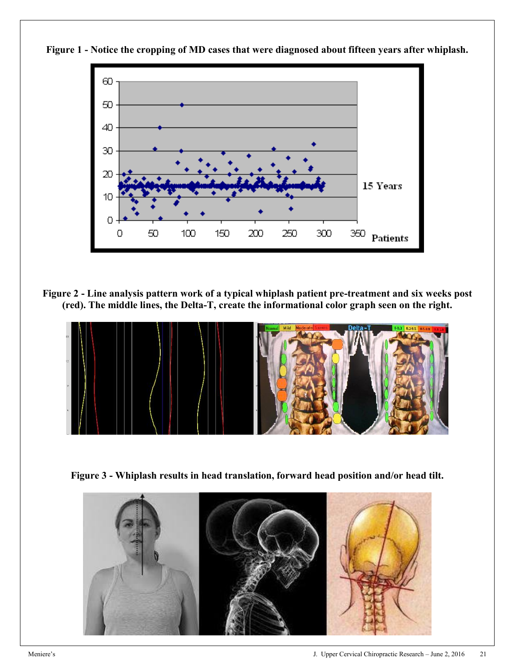

**Figure 1 - Notice the cropping of MD cases that were diagnosed about fifteen years after whiplash.**

**Figure 2 - Line analysis pattern work of a typical whiplash patient pre-treatment and six weeks post (red). The middle lines, the Delta-T, create the informational color graph seen on the right.**



**Figure 3 - Whiplash results in head translation, forward head position and/or head tilt.**

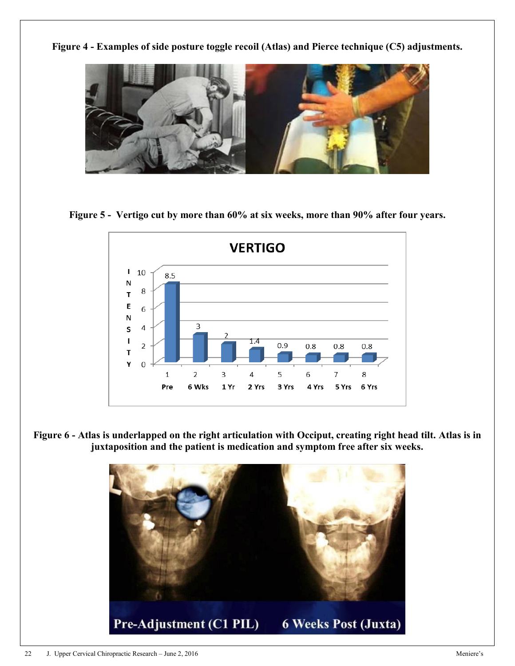**Figure 4 - Examples of side posture toggle recoil (Atlas) and Pierce technique (C5) adjustments.**



**Figure 5 - Vertigo cut by more than 60% at six weeks, more than 90% after four years.**



**Figure 6 - Atlas is underlapped on the right articulation with Occiput, creating right head tilt. Atlas is in juxtaposition and the patient is medication and symptom free after six weeks.**